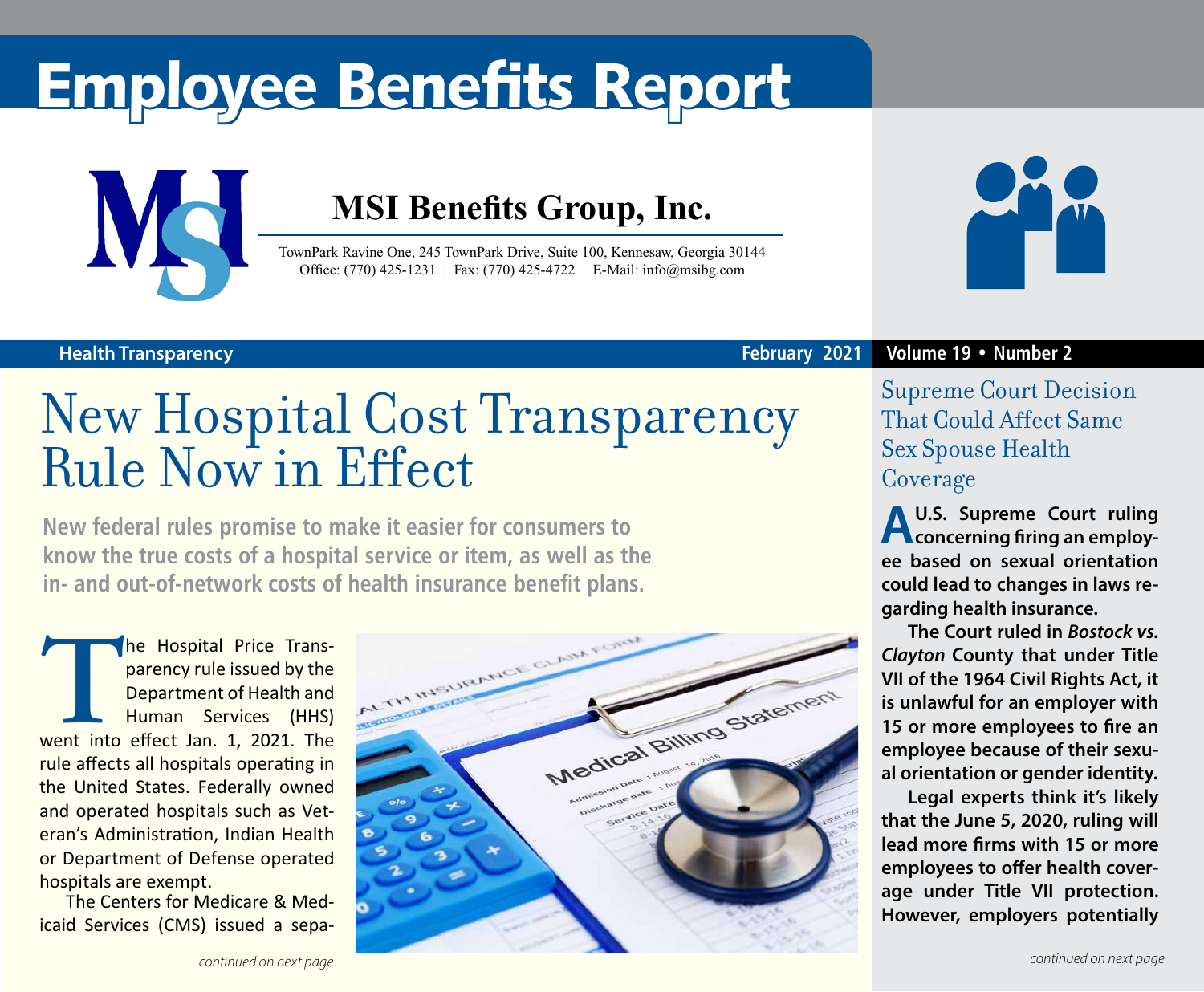# Employee Benefits Report



### **MSI Benefits Group, Inc.**

TownPark Ravine One, 245 TownPark Drive, Suite 100, Kennesaw, Georgia 30144 Office: (770) 425-1231 | Fax: (770) 425-4722 | E-Mail: info@msibg.com



### **Health Transparency**

#### **February 2021 Volume 19 • Number 2**

## New Hospital Cost Transparency Rule Now in Effect

**New federal rules promise to make it easier for consumers to know the true costs of a hospital service or item, as well as the in- and out-of-network costs of health insurance benefit plans.**

**The Hospital Price Trans-**<br>
parency rule issued by the<br>
Department of Health and<br>
Human Services (HHS)<br>
went into effect Jan. 1, 2021. The parency rule issued by the Department of Health and Human Services (HHS) rule affects all hospitals operating in the United States. Federally owned and operated hospitals such as Veteran's Administration, Indian Health or Department of Defense operated hospitals are exempt.

The Centers for Medicare & Medicaid Services (CMS) issued a sepa-



Supreme Court Decision That Could Affect Same Sex Spouse Health Coverage

**A U.S. Supreme Court ruling concerning firing an employee based on sexual orientation could lead to changes in laws regarding health insurance.**

**The Court ruled in** *Bostock vs. Clayton* **County that under Title VII of the 1964 Civil Rights Act, it is unlawful for an employer with 15 or more employees to fire an employee because of their sexual orientation or gender identity.**

**Legal experts think it's likely that the June 5, 2020, ruling will lead more firms with 15 or more employees to offer health coverage under Title VII protection. However, employers potentially**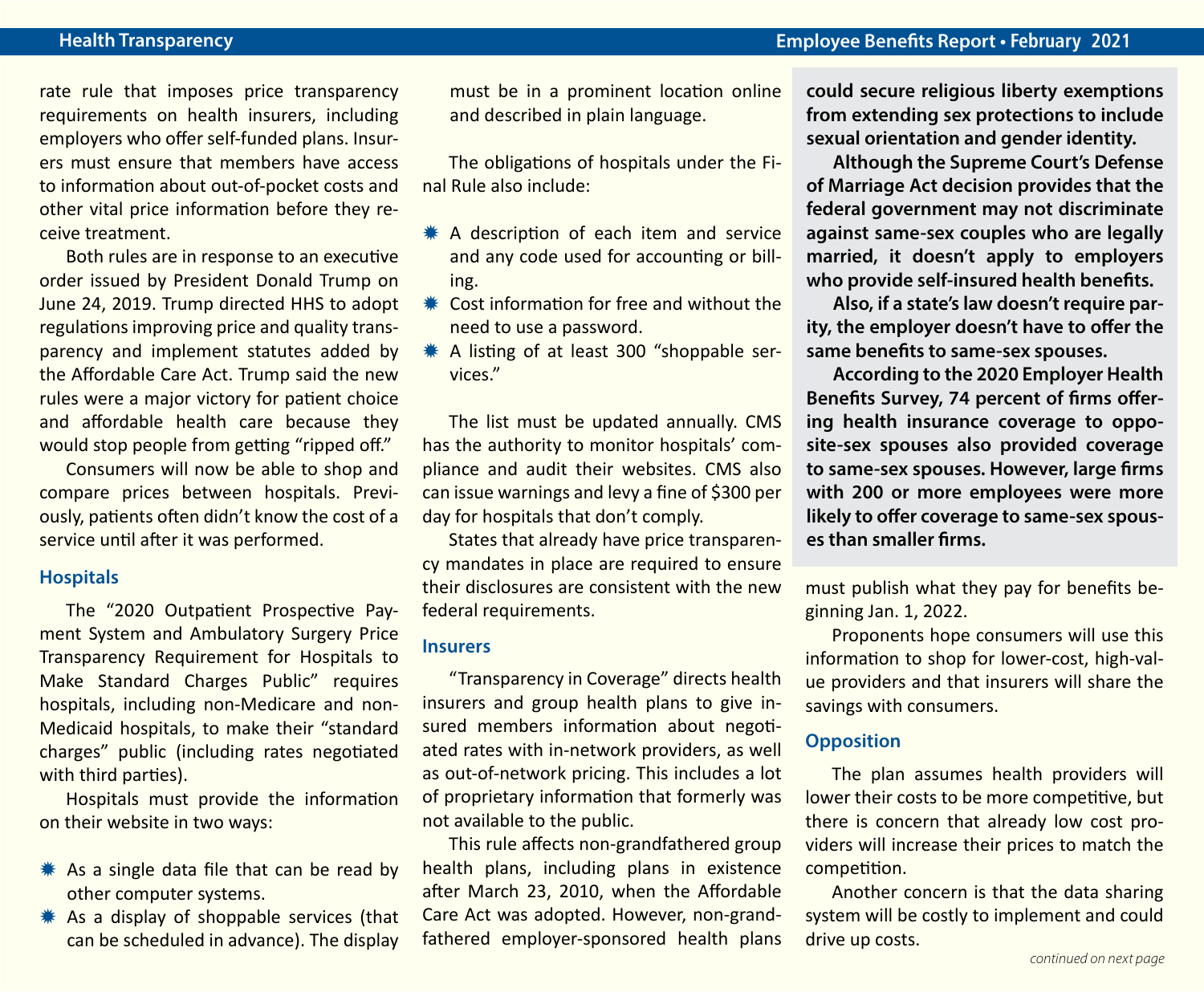rate rule that imposes price transparency requirements on health insurers, including employers who offer self-funded plans. Insurers must ensure that members have access to information about out-of-pocket costs and other vital price information before they receive treatment.

Both rules are in response to an executive order issued by President Donald Trump on June 24, 2019. Trump directed HHS to adopt regulations improving price and quality transparency and implement statutes added by the Affordable Care Act. Trump said the new rules were a major victory for patient choice and affordable health care because they would stop people from getting "ripped off."

Consumers will now be able to shop and compare prices between hospitals. Previously, patients often didn't know the cost of a service until after it was performed.

#### **Hospitals**

The "2020 Outpatient Prospective Payment System and Ambulatory Surgery Price Transparency Requirement for Hospitals to Make Standard Charges Public" requires hospitals, including non-Medicare and non-Medicaid hospitals, to make their "standard charges" public (including rates negotiated with third parties).

Hospitals must provide the information on their website in two ways:

- $*$  As a single data file that can be read by other computer systems.
- $*$  As a display of shoppable services (that can be scheduled in advance). The display

must be in a prominent location online and described in plain language.

The obligations of hospitals under the Final Rule also include:

- $*$  A description of each item and service and any code used for accounting or billing.
- $*$  Cost information for free and without the need to use a password.
- $*$  A listing of at least 300 "shoppable services."

The list must be updated annually. CMS has the authority to monitor hospitals' compliance and audit their websites. CMS also can issue warnings and levy a fine of \$300 per day for hospitals that don't comply.

States that already have price transparency mandates in place are required to ensure their disclosures are consistent with the new federal requirements.

#### **Insurers**

"Transparency in Coverage" directs health insurers and group health plans to give insured members information about negotiated rates with in-network providers, as well as out-of-network pricing. This includes a lot of proprietary information that formerly was not available to the public.

This rule affects non-grandfathered group health plans, including plans in existence after March 23, 2010, when the Affordable Care Act was adopted. However, non-grandfathered employer-sponsored health plans **could secure religious liberty exemptions from extending sex protections to include sexual orientation and gender identity.**

**Although the Supreme Court's Defense of Marriage Act decision provides that the federal government may not discriminate against same-sex couples who are legally married, it doesn't apply to employers who provide self-insured health benefits.** 

**Also, if a state's law doesn't require parity, the employer doesn't have to offer the same benefits to same-sex spouses.** 

**According to the 2020 Employer Health Benefits Survey, 74 percent of firms offering health insurance coverage to opposite-sex spouses also provided coverage to same-sex spouses. However, large firms with 200 or more employees were more likely to offer coverage to same-sex spouses than smaller firms.**

must publish what they pay for benefits beginning Jan. 1, 2022.

Proponents hope consumers will use this information to shop for lower-cost, high-value providers and that insurers will share the savings with consumers.

#### **Opposition**

The plan assumes health providers will lower their costs to be more competitive, but there is concern that already low cost providers will increase their prices to match the competition.

Another concern is that the data sharing system will be costly to implement and could drive up costs.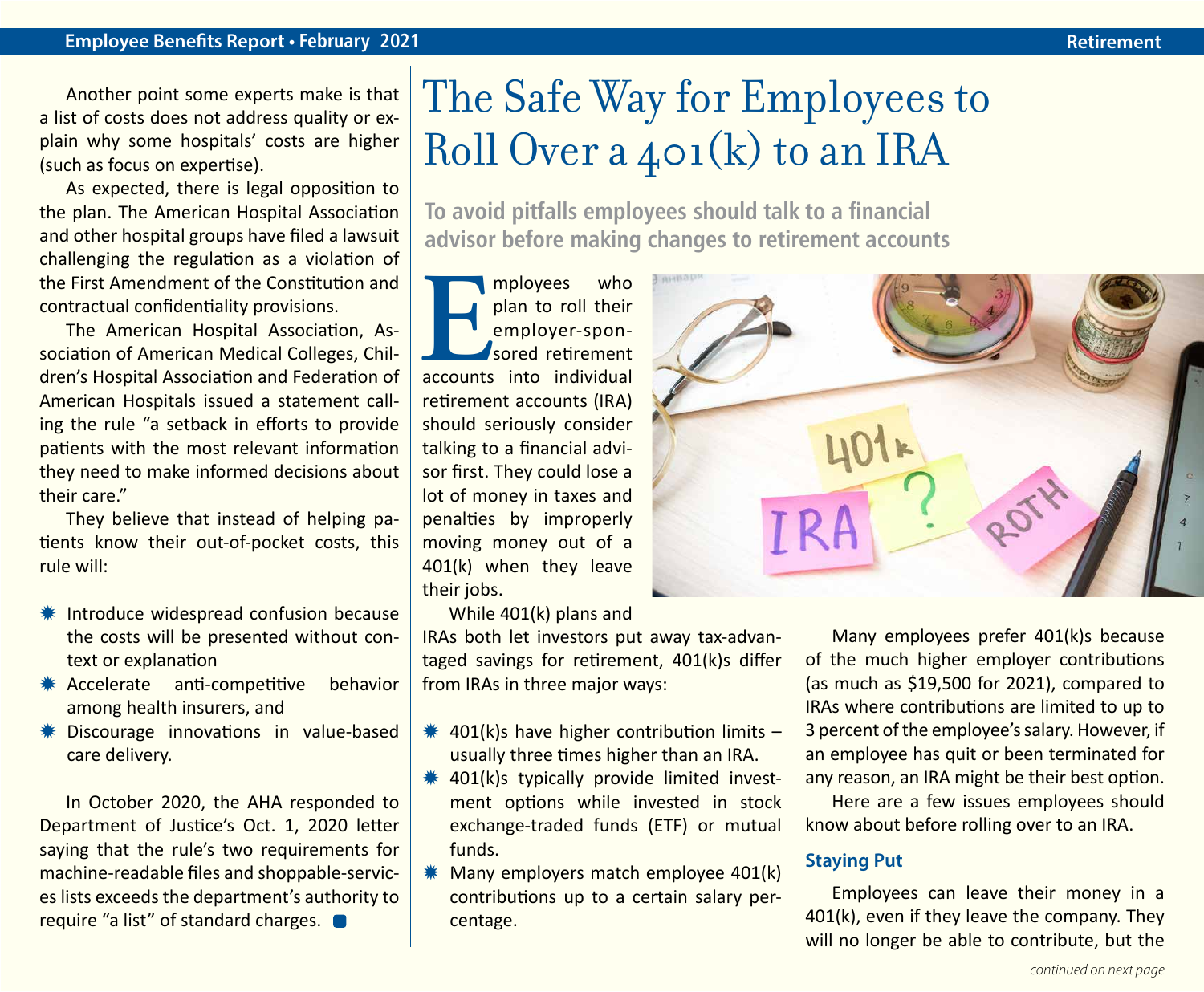Another point some experts make is that a list of costs does not address quality or explain why some hospitals' costs are higher (such as focus on expertise).

As expected, there is legal opposition to the plan. The American Hospital Association and other hospital groups have filed a lawsuit challenging the regulation as a violation of the First Amendment of the Constitution and contractual confidentiality provisions.

The American Hospital Association, Association of American Medical Colleges, Children's Hospital Association and Federation of American Hospitals issued a statement calling the rule "a setback in efforts to provide patients with the most relevant information they need to make informed decisions about their care."

They believe that instead of helping patients know their out-of-pocket costs, this rule will:

- **\* Introduce widespread confusion because** the costs will be presented without context or explanation
- \* Accelerate anti-competitive behavior among health insurers, and
- **\*\*** Discourage innovations in value-based care delivery.

In October 2020, the AHA responded to Department of Justice's Oct. 1, 2020 letter saying that the rule's two requirements for machine-readable files and shoppable-services lists exceeds the department's authority to require "a list" of standard charges.

### The Safe Way for Employees to Roll Over a 401(k) to an IRA

**To avoid pitfalls employees should talk to a financial advisor before making changes to retirement accounts**

**EXECUTE ISLEM**<br> **EXECUTE ISLEM**<br> **EXECUTE ISLEM**<br> **EXECUTE ISLEM**<br> **EXECUTE ISLEM**<br> **EXECUTE ISLEM**<br> **EXECUTE ISLEM**<br> **EXECUTE ISLEM**<br> **EXECUTE ISLEM**<br> **EXECUTE ISLEM**<br> **EXECUTE ISLEM**<br> **EXECUTE ISLEM**<br> **EXECUTE ISLEM**<br> plan to roll their employer-sponsored retirement retirement accounts (IRA) should seriously consider talking to a financial advisor first. They could lose a lot of money in taxes and penalties by improperly moving money out of a 401(k) when they leave their jobs.

While 401(k) plans and

IRAs both let investors put away tax-advantaged savings for retirement, 401(k)s differ from IRAs in three major ways:

- $*$  401(k)s have higher contribution limits usually three times higher than an IRA.
- $*$  401(k)s typically provide limited investment options while invested in stock exchange-traded funds (ETF) or mutual funds.
- $*$  Many employers match employee 401(k) contributions up to a certain salary percentage.



Many employees prefer 401(k)s because of the much higher employer contributions (as much as \$19,500 for 2021), compared to IRAs where contributions are limited to up to 3 percent of the employee's salary. However, if an employee has quit or been terminated for any reason, an IRA might be their best option.

Here are a few issues employees should know about before rolling over to an IRA.

#### **Staying Put**

Employees can leave their money in a 401(k), even if they leave the company. They will no longer be able to contribute, but the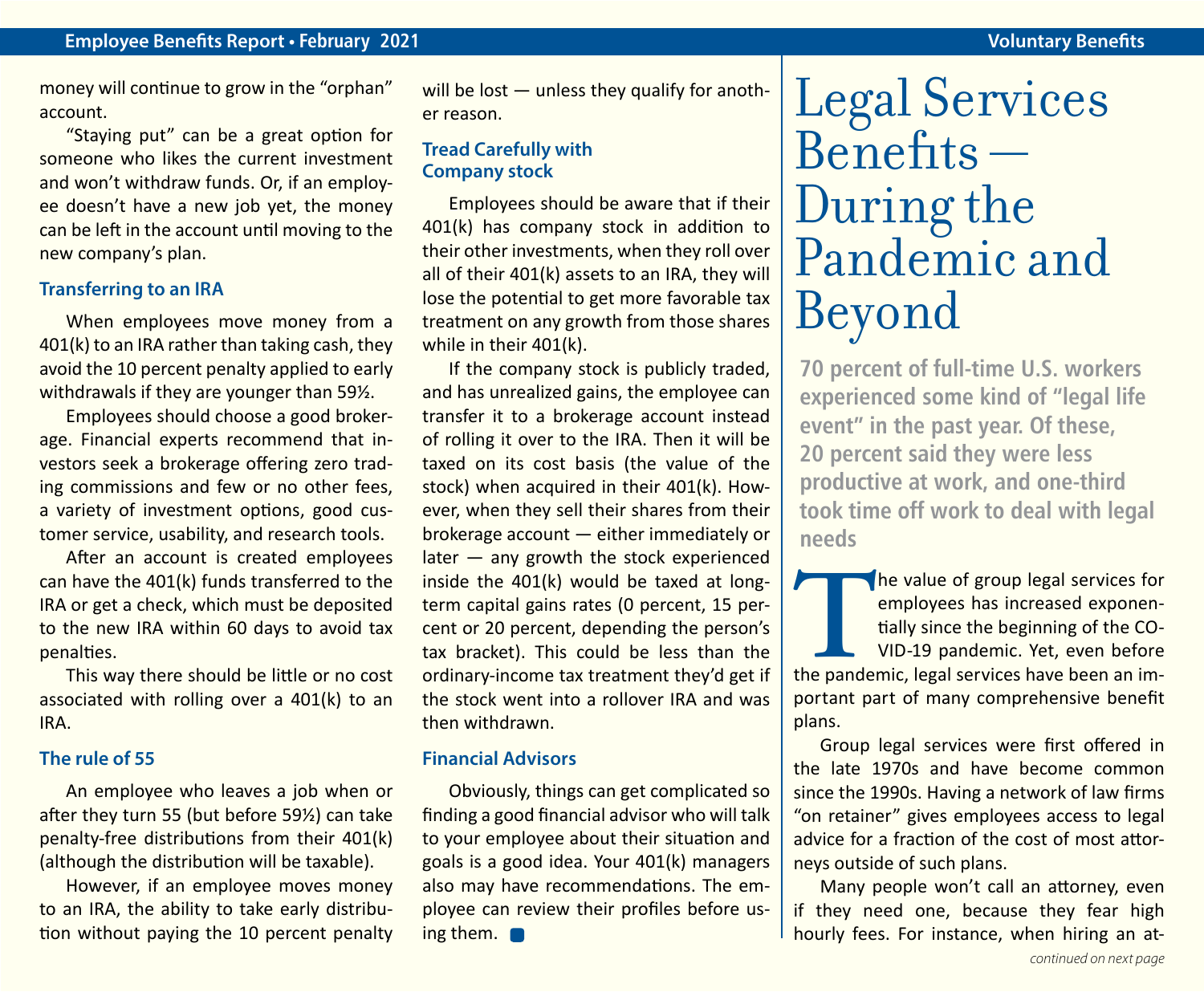money will continue to grow in the "orphan" account.

"Staying put" can be a great option for someone who likes the current investment and won't withdraw funds. Or, if an employee doesn't have a new job yet, the money can be left in the account until moving to the new company's plan.

#### **Transferring to an IRA**

When employees move money from a 401(k) to an IRA rather than taking cash, they avoid the 10 percent penalty applied to early withdrawals if they are younger than 59½.

Employees should choose a good brokerage. Financial experts recommend that investors seek a brokerage offering zero trading commissions and few or no other fees, a variety of investment options, good customer service, usability, and research tools.

After an account is created employees can have the 401(k) funds transferred to the IRA or get a check, which must be deposited to the new IRA within 60 days to avoid tax penalties.

This way there should be little or no cost associated with rolling over a 401(k) to an IRA.

#### **The rule of 55**

An employee who leaves a job when or after they turn 55 (but before 59½) can take penalty-free distributions from their 401(k) (although the distribution will be taxable).

However, if an employee moves money to an IRA, the ability to take early distribution without paying the 10 percent penalty will be lost  $-$  unless they qualify for another reason.

#### **Tread Carefully with Company stock**

Employees should be aware that if their 401(k) has company stock in addition to their other investments, when they roll over all of their 401(k) assets to an IRA, they will lose the potential to get more favorable tax treatment on any growth from those shares while in their 401(k).

If the company stock is publicly traded, and has unrealized gains, the employee can transfer it to a brokerage account instead of rolling it over to the IRA. Then it will be taxed on its cost basis (the value of the stock) when acquired in their 401(k). However, when they sell their shares from their brokerage account — either immediately or later — any growth the stock experienced inside the 401(k) would be taxed at longterm capital gains rates (0 percent, 15 percent or 20 percent, depending the person's tax bracket). This could be less than the ordinary-income tax treatment they'd get if the stock went into a rollover IRA and was then withdrawn.

#### **Financial Advisors**

Obviously, things can get complicated so finding a good financial advisor who will talk to your employee about their situation and goals is a good idea. Your 401(k) managers also may have recommendations. The employee can review their profiles before using them.

## Legal Services  $B$ enefits  $-$ During the Pandemic and Beyond

**70 percent of full-time U.S. workers experienced some kind of "legal life event" in the past year. Of these, 20 percent said they were less productive at work, and one-third took time off work to deal with legal needs**

The value of group legal services for employees has increased exponentially since the beginning of the CO-VID-19 pandemic. Yet, even before the pandemic, legal services have been an imemployees has increased exponentially since the beginning of the CO-VID-19 pandemic. Yet, even before portant part of many comprehensive benefit plans.

Group legal services were first offered in the late 1970s and have become common since the 1990s. Having a network of law firms "on retainer" gives employees access to legal advice for a fraction of the cost of most attorneys outside of such plans.

Many people won't call an attorney, even if they need one, because they fear high hourly fees. For instance, when hiring an at-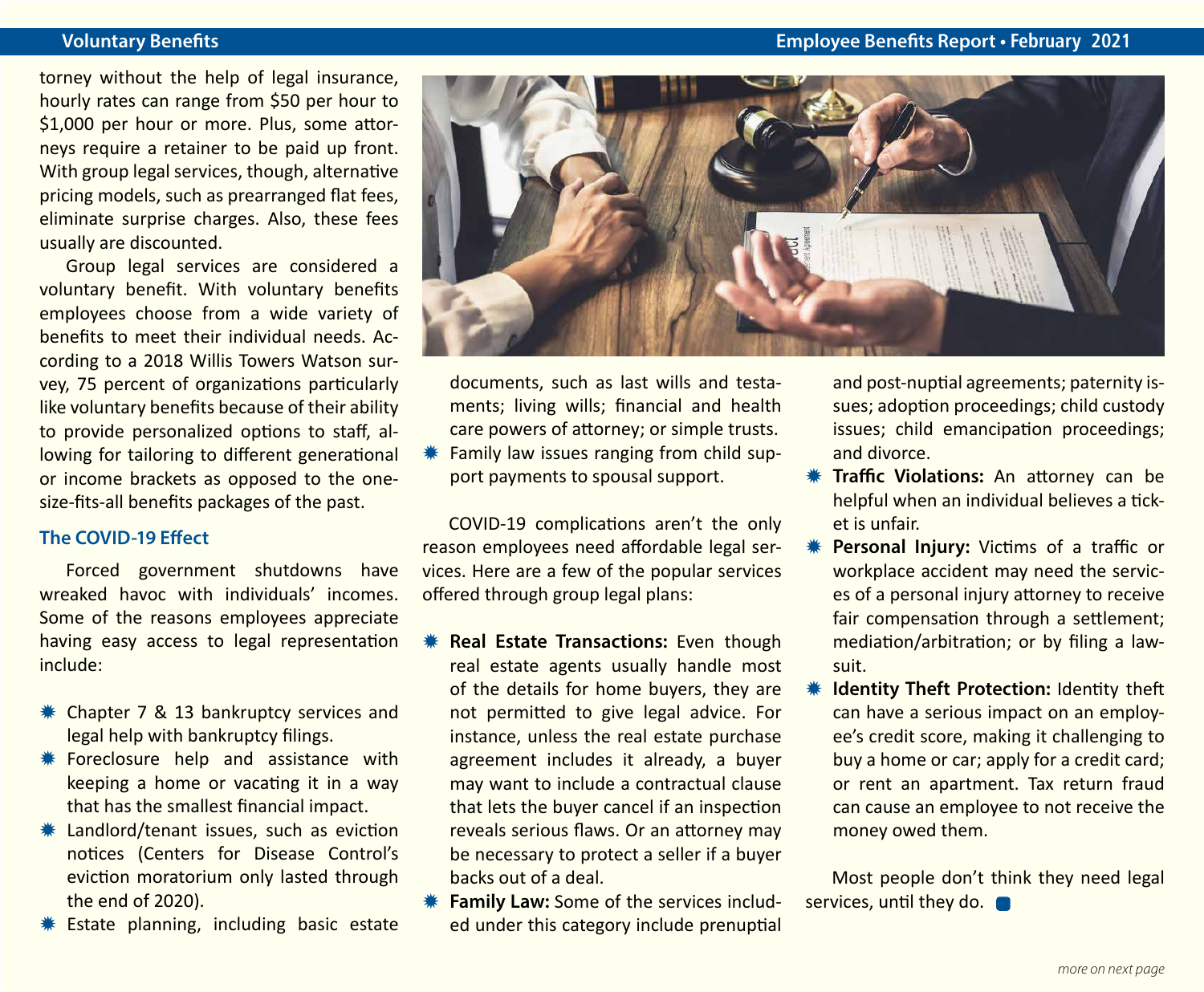#### **Voluntary Benefits Employee Benefits Report • February 2021**

torney without the help of legal insurance, hourly rates can range from \$50 per hour to \$1,000 per hour or more. Plus, some attorneys require a retainer to be paid up front. With group legal services, though, alternative pricing models, such as prearranged flat fees, eliminate surprise charges. Also, these fees usually are discounted.

Group legal services are considered a voluntary benefit. With voluntary benefits employees choose from a wide variety of benefits to meet their individual needs. According to a 2018 Willis Towers Watson survey, 75 percent of organizations particularly like voluntary benefits because of their ability to provide personalized options to staff, allowing for tailoring to different generational or income brackets as opposed to the onesize-fits-all benefits packages of the past.

#### **The COVID-19 Effect**

Forced government shutdowns have wreaked havoc with individuals' incomes. Some of the reasons employees appreciate having easy access to legal representation include:

- **\*\*** Chapter 7 & 13 bankruptcy services and legal help with bankruptcy filings.
- **\# Foreclosure help and assistance with** keeping a home or vacating it in a way that has the smallest financial impact.
- $*$  Landlord/tenant issues, such as eviction notices (Centers for Disease Control's eviction moratorium only lasted through the end of 2020).
- Estate planning, including basic estate



documents, such as last wills and testaments; living wills; financial and health care powers of attorney; or simple trusts. Family law issues ranging from child sup-

COVID-19 complications aren't the only reason employees need affordable legal services. Here are a few of the popular services offered through group legal plans:

port payments to spousal support.

- **Keal Estate Transactions:** Even though real estate agents usually handle most of the details for home buyers, they are not permitted to give legal advice. For instance, unless the real estate purchase agreement includes it already, a buyer may want to include a contractual clause that lets the buyer cancel if an inspection reveals serious flaws. Or an attorney may be necessary to protect a seller if a buyer backs out of a deal.
- **K** Family Law: Some of the services included under this category include prenuptial

and post-nuptial agreements; paternity issues; adoption proceedings; child custody issues; child emancipation proceedings; and divorce.

- **WE Traffic Violations:** An attorney can be helpful when an individual believes a ticket is unfair.
- **\* Personal Injury:** Victims of a traffic or workplace accident may need the services of a personal injury attorney to receive fair compensation through a settlement; mediation/arbitration; or by filing a lawsuit.
- **Identity Theft Protection: Identity theft** can have a serious impact on an employee's credit score, making it challenging to buy a home or car; apply for a credit card; or rent an apartment. Tax return fraud can cause an employee to not receive the money owed them.

Most people don't think they need legal services, until they do.